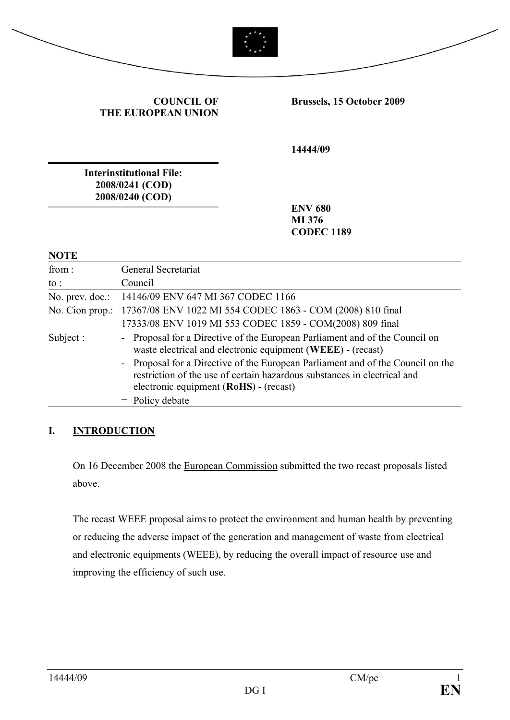| <b>COUNCIL OF</b><br>THE EUROPEAN UNION                               | Brussels, 15 October 2009                     |
|-----------------------------------------------------------------------|-----------------------------------------------|
|                                                                       | 14444/09                                      |
| <b>Interinstitutional File:</b><br>2008/0241 (COD)<br>2008/0240 (COD) |                                               |
|                                                                       | <b>ENV 680</b><br>MI 376<br><b>CODEC 1189</b> |
| <b>NOTE</b>                                                           |                                               |

## **I. INTRODUCTION**

to : Council

No. prev. doc.: 14146/09 ENV 647 MI 367 CODEC 1166

= Policy debate

No. Cion prop.: 17367/08 ENV 1022 MI 554 CODEC 1863 - COM (2008) 810 final

electronic equipment (**RoHS**) - (recast)

On 16 December 2008 the European Commission submitted the two recast proposals listed above.

17333/08 ENV 1019 MI 553 CODEC 1859 - COM(2008) 809 final

waste electrical and electronic equipment (**WEEE**) - (recast)

- Proposal for a Directive of the European Parliament and of the Council on the restriction of the use of certain hazardous substances in electrical and

Subject : - Proposal for a Directive of the European Parliament and of the Council on

The recast WEEE proposal aims to protect the environment and human health by preventing or reducing the adverse impact of the generation and management of waste from electrical and electronic equipments (WEEE), by reducing the overall impact of resource use and improving the efficiency of such use.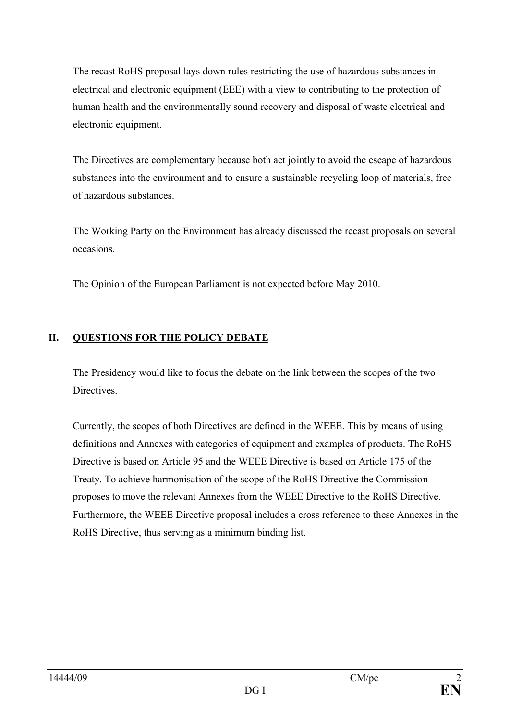The recast RoHS proposal lays down rules restricting the use of hazardous substances in electrical and electronic equipment (EEE) with a view to contributing to the protection of human health and the environmentally sound recovery and disposal of waste electrical and electronic equipment.

The Directives are complementary because both act jointly to avoid the escape of hazardous substances into the environment and to ensure a sustainable recycling loop of materials, free of hazardous substances.

The Working Party on the Environment has already discussed the recast proposals on several occasions.

The Opinion of the European Parliament is not expected before May 2010.

## **II. QUESTIONS FOR THE POLICY DEBATE**

The Presidency would like to focus the debate on the link between the scopes of the two Directives.

Currently, the scopes of both Directives are defined in the WEEE. This by means of using definitions and Annexes with categories of equipment and examples of products. The RoHS Directive is based on Article 95 and the WEEE Directive is based on Article 175 of the Treaty. To achieve harmonisation of the scope of the RoHS Directive the Commission proposes to move the relevant Annexes from the WEEE Directive to the RoHS Directive. Furthermore, the WEEE Directive proposal includes a cross reference to these Annexes in the RoHS Directive, thus serving as a minimum binding list.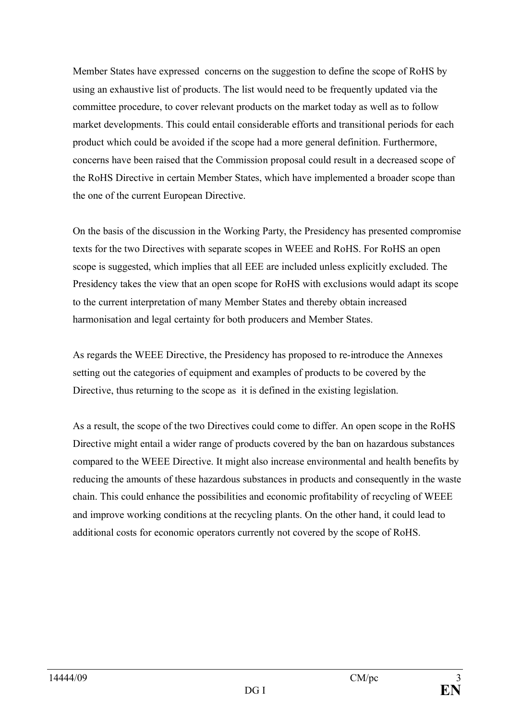Member States have expressed concerns on the suggestion to define the scope of RoHS by using an exhaustive list of products. The list would need to be frequently updated via the committee procedure, to cover relevant products on the market today as well as to follow market developments. This could entail considerable efforts and transitional periods for each product which could be avoided if the scope had a more general definition. Furthermore, concerns have been raised that the Commission proposal could result in a decreased scope of the RoHS Directive in certain Member States, which have implemented a broader scope than the one of the current European Directive.

On the basis of the discussion in the Working Party, the Presidency has presented compromise texts for the two Directives with separate scopes in WEEE and RoHS. For RoHS an open scope is suggested, which implies that all EEE are included unless explicitly excluded. The Presidency takes the view that an open scope for RoHS with exclusions would adapt its scope to the current interpretation of many Member States and thereby obtain increased harmonisation and legal certainty for both producers and Member States.

As regards the WEEE Directive, the Presidency has proposed to re-introduce the Annexes setting out the categories of equipment and examples of products to be covered by the Directive, thus returning to the scope as it is defined in the existing legislation.

As a result, the scope of the two Directives could come to differ. An open scope in the RoHS Directive might entail a wider range of products covered by the ban on hazardous substances compared to the WEEE Directive. It might also increase environmental and health benefits by reducing the amounts of these hazardous substances in products and consequently in the waste chain. This could enhance the possibilities and economic profitability of recycling of WEEE and improve working conditions at the recycling plants. On the other hand, it could lead to additional costs for economic operators currently not covered by the scope of RoHS.